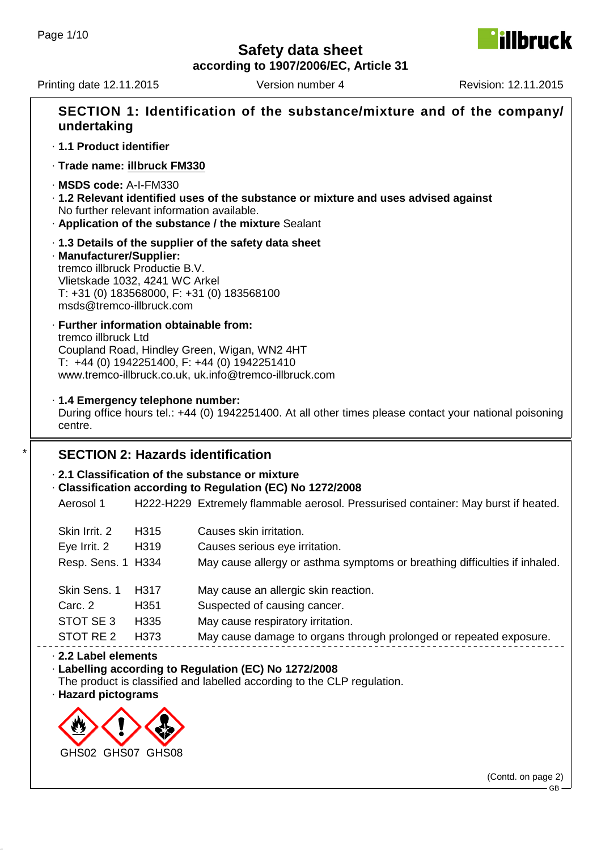**Fillbruck** 

**according to 1907/2006/EC, Article 31**

| undertaking                                                                                                              |      | SECTION 1: Identification of the substance/mixture and of the company/                                                                                   |
|--------------------------------------------------------------------------------------------------------------------------|------|----------------------------------------------------------------------------------------------------------------------------------------------------------|
| · 1.1 Product identifier                                                                                                 |      |                                                                                                                                                          |
| · Trade name: illbruck FM330                                                                                             |      |                                                                                                                                                          |
| · MSDS code: A-I-FM330<br>No further relevant information available.                                                     |      | · 1.2 Relevant identified uses of the substance or mixture and uses advised against<br>. Application of the substance / the mixture Sealant              |
| · Manufacturer/Supplier:<br>tremco illbruck Productie B.V.<br>Vlietskade 1032, 4241 WC Arkel<br>msds@tremco-illbruck.com |      | 1.3 Details of the supplier of the safety data sheet<br>$T: +31$ (0) 183568000, F: $+31$ (0) 183568100                                                   |
| · Further information obtainable from:<br>tremco illbruck Ltd                                                            |      | Coupland Road, Hindley Green, Wigan, WN2 4HT<br>$T: +44$ (0) 1942251400, F: +44 (0) 1942251410<br>www.tremco-illbruck.co.uk, uk.info@tremco-illbruck.com |
| · 1.4 Emergency telephone number:<br>centre.                                                                             |      | During office hours tel.: +44 (0) 1942251400. At all other times please contact your national poisoning                                                  |
|                                                                                                                          |      | <b>SECTION 2: Hazards identification</b>                                                                                                                 |
|                                                                                                                          |      | 2.1 Classification of the substance or mixture                                                                                                           |
|                                                                                                                          |      | Classification according to Regulation (EC) No 1272/2008                                                                                                 |
| Aerosol 1                                                                                                                |      | H222-H229 Extremely flammable aerosol. Pressurised container: May burst if heated.                                                                       |
| Skin Irrit. 2                                                                                                            | H315 | Causes skin irritation.                                                                                                                                  |
| Eye Irrit. 2 H319                                                                                                        |      | Causes serious eye irritation.                                                                                                                           |
| Resp. Sens. 1 H334                                                                                                       |      | May cause allergy or asthma symptoms or breathing difficulties if inhaled.                                                                               |
| Skin Sens. 1                                                                                                             | H317 | May cause an allergic skin reaction.                                                                                                                     |
| Carc. 2                                                                                                                  | H351 | Suspected of causing cancer.                                                                                                                             |
| STOT SE 3                                                                                                                | H335 |                                                                                                                                                          |
| STOT RE 2                                                                                                                | H373 | May cause respiratory irritation.<br>May cause damage to organs through prolonged or repeated exposure.                                                  |
|                                                                                                                          |      |                                                                                                                                                          |
| 2.2 Label elements<br>· Hazard pictograms                                                                                |      | · Labelling according to Regulation (EC) No 1272/2008<br>The product is classified and labelled according to the CLP regulation.                         |
|                                                                                                                          |      |                                                                                                                                                          |
| GHS02 GHS07 GHS08                                                                                                        |      |                                                                                                                                                          |
|                                                                                                                          |      | (Contd. on page 2)<br>GB                                                                                                                                 |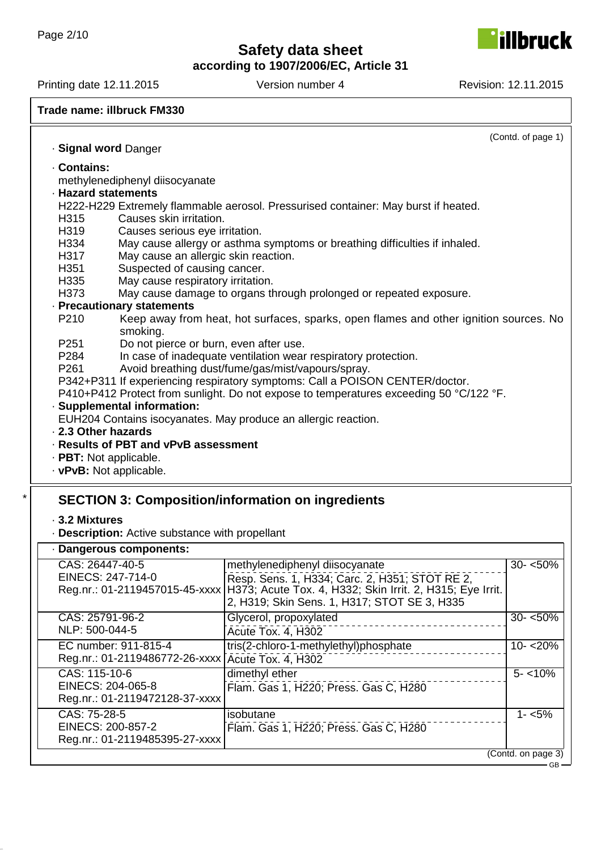**according to 1907/2006/EC, Article 31**

Printing date 12.11.2015 Version number 4 Revision: 12.11.2015

**illbruck** 

#### **Trade name: illbruck FM330**

Reg.nr.: 01-2119486772-26-xxxx

Reg.nr.: 01-2119472128-37-xxxx

Reg.nr.: 01-2119485395-27-xxxx

CAS: 115-10-6 EINECS: 204-065-8

CAS: 75-28-5 EINECS: 200-857-2

| · Signal word Danger                                                                          |                                                                                        | (Contd. of page 1) |
|-----------------------------------------------------------------------------------------------|----------------------------------------------------------------------------------------|--------------------|
|                                                                                               |                                                                                        |                    |
| · Contains:                                                                                   |                                                                                        |                    |
| methylenediphenyl diisocyanate<br>· Hazard statements                                         |                                                                                        |                    |
|                                                                                               | H222-H229 Extremely flammable aerosol. Pressurised container: May burst if heated.     |                    |
| Causes skin irritation.<br>H315                                                               |                                                                                        |                    |
| H319<br>Causes serious eye irritation.                                                        |                                                                                        |                    |
| H334                                                                                          | May cause allergy or asthma symptoms or breathing difficulties if inhaled.             |                    |
| H317<br>May cause an allergic skin reaction.                                                  |                                                                                        |                    |
| Suspected of causing cancer.<br>H351                                                          |                                                                                        |                    |
| H335<br>May cause respiratory irritation.                                                     |                                                                                        |                    |
| H373                                                                                          | May cause damage to organs through prolonged or repeated exposure.                     |                    |
| · Precautionary statements                                                                    |                                                                                        |                    |
| P210                                                                                          | Keep away from heat, hot surfaces, sparks, open flames and other ignition sources. No  |                    |
| smoking.                                                                                      |                                                                                        |                    |
| P251<br>Do not pierce or burn, even after use.                                                |                                                                                        |                    |
| P284                                                                                          | In case of inadequate ventilation wear respiratory protection.                         |                    |
| P261                                                                                          | Avoid breathing dust/fume/gas/mist/vapours/spray.                                      |                    |
|                                                                                               | P342+P311 If experiencing respiratory symptoms: Call a POISON CENTER/doctor.           |                    |
|                                                                                               | P410+P412 Protect from sunlight. Do not expose to temperatures exceeding 50 °C/122 °F. |                    |
| · Supplemental information:<br>EUH204 Contains isocyanates. May produce an allergic reaction. |                                                                                        |                    |
| 2.3 Other hazards                                                                             |                                                                                        |                    |
| · Results of PBT and vPvB assessment                                                          |                                                                                        |                    |
| · PBT: Not applicable.                                                                        |                                                                                        |                    |
| · vPvB: Not applicable.                                                                       |                                                                                        |                    |
|                                                                                               |                                                                                        |                    |
|                                                                                               |                                                                                        |                    |
|                                                                                               | <b>SECTION 3: Composition/information on ingredients</b>                               |                    |
| ⋅ 3.2 Mixtures                                                                                |                                                                                        |                    |
| . Description: Active substance with propellant                                               |                                                                                        |                    |
| · Dangerous components:                                                                       |                                                                                        |                    |
| CAS: 26447-40-5                                                                               | methylenediphenyl diisocyanate                                                         | $30 - 50\%$        |
| EINECS: 247-714-0                                                                             | Resp. Sens. 1, H334; Carc. 2, H351; STOT RE 2,                                         |                    |
| Reg.nr.: 01-2119457015-45-xxxx                                                                | H373; Acute Tox. 4, H332; Skin Irrit. 2, H315; Eye Irrit.                              |                    |
|                                                                                               | 2, H319; Skin Sens. 1, H317; STOT SE 3, H335                                           |                    |
| CAS: 25791-96-2                                                                               | Glycerol, propoxylated                                                                 | $30 - 50\%$        |
| NLP: 500-044-5                                                                                | Acute Tox. 4, H302                                                                     |                    |
| EC number: 911-815-4                                                                          | tris(2-chloro-1-methylethyl)phosphate                                                  | $10 - 20%$         |
|                                                                                               |                                                                                        |                    |

Acute Tox. 4, H302

Flam. Gas 1, H220; Press. Gas C, H280

Flam. Gas 1, H220; Press. Gas C, H280

dimethyl ether

isobutane

 $5 - 10\%$ 

 $1 - 5\%$ 

(Contd. on page 3)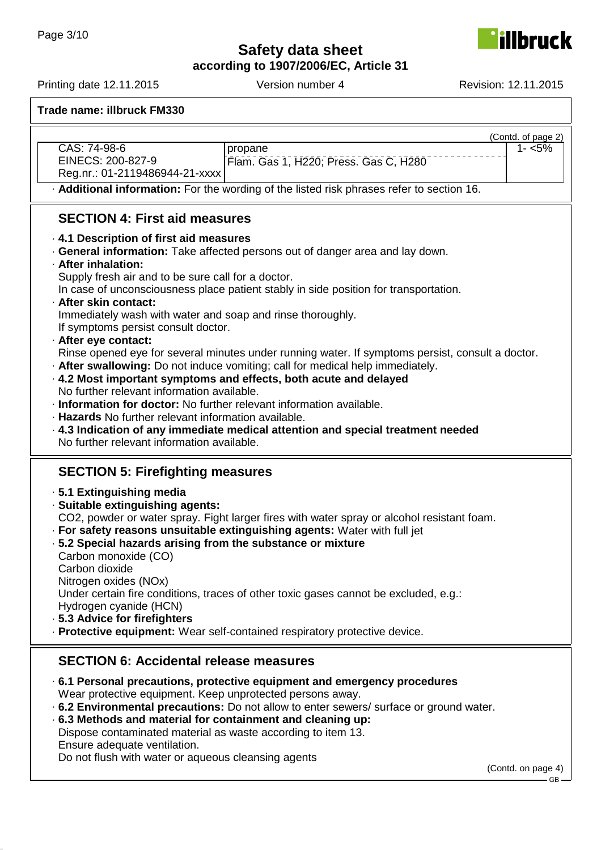**according to 1907/2006/EC, Article 31**

| CAS: 74-98-6<br>EINECS: 200-827-9<br>Reg.nr.: 01-2119486944-21-xxxx                                                                                                                                                                                                                                                                                                                                                                                                                                   | propane<br>Flam. Gas 1, H220; Press. Gas C, H280<br>. Additional information: For the wording of the listed risk phrases refer to section 16.                                                                                                                                                                                                                                                                                                                                                                              | (Contd. of page 2)<br>$1 - 5%$ |
|-------------------------------------------------------------------------------------------------------------------------------------------------------------------------------------------------------------------------------------------------------------------------------------------------------------------------------------------------------------------------------------------------------------------------------------------------------------------------------------------------------|----------------------------------------------------------------------------------------------------------------------------------------------------------------------------------------------------------------------------------------------------------------------------------------------------------------------------------------------------------------------------------------------------------------------------------------------------------------------------------------------------------------------------|--------------------------------|
| <b>SECTION 4: First aid measures</b>                                                                                                                                                                                                                                                                                                                                                                                                                                                                  |                                                                                                                                                                                                                                                                                                                                                                                                                                                                                                                            |                                |
| .4.1 Description of first aid measures<br>· After inhalation:<br>Supply fresh air and to be sure call for a doctor.<br>· After skin contact:<br>Immediately wash with water and soap and rinse thoroughly.<br>If symptoms persist consult doctor.<br>· After eye contact:<br>No further relevant information available.<br>· Information for doctor: No further relevant information available.<br>· Hazards No further relevant information available.<br>No further relevant information available. | . General information: Take affected persons out of danger area and lay down.<br>In case of unconsciousness place patient stably in side position for transportation.<br>Rinse opened eye for several minutes under running water. If symptoms persist, consult a doctor.<br>. After swallowing: Do not induce vomiting; call for medical help immediately.<br>· 4.2 Most important symptoms and effects, both acute and delayed<br>$\cdot$ 4.3 Indication of any immediate medical attention and special treatment needed |                                |
| <b>SECTION 5: Firefighting measures</b>                                                                                                                                                                                                                                                                                                                                                                                                                                                               |                                                                                                                                                                                                                                                                                                                                                                                                                                                                                                                            |                                |
| · 5.1 Extinguishing media<br>· Suitable extinguishing agents:<br>.5.2 Special hazards arising from the substance or mixture<br>Carbon monoxide (CO)<br>Carbon dioxide<br>Nitrogen oxides (NOx)<br>Hydrogen cyanide (HCN)<br>· 5.3 Advice for firefighters                                                                                                                                                                                                                                             | CO2, powder or water spray. Fight larger fires with water spray or alcohol resistant foam.<br>· For safety reasons unsuitable extinguishing agents: Water with full jet<br>Under certain fire conditions, traces of other toxic gases cannot be excluded, e.g.:<br>· Protective equipment: Wear self-contained respiratory protective device.                                                                                                                                                                              |                                |
| <b>SECTION 6: Accidental release measures</b>                                                                                                                                                                                                                                                                                                                                                                                                                                                         |                                                                                                                                                                                                                                                                                                                                                                                                                                                                                                                            |                                |
| Wear protective equipment. Keep unprotected persons away.<br>.6.3 Methods and material for containment and cleaning up:<br>Dispose contaminated material as waste according to item 13.<br>Ensure adequate ventilation.<br>Do not flush with water or aqueous cleansing agents                                                                                                                                                                                                                        | ⋅ 6.1 Personal precautions, protective equipment and emergency procedures<br>. 6.2 Environmental precautions: Do not allow to enter sewers/ surface or ground water.                                                                                                                                                                                                                                                                                                                                                       | (Contd. on page 4)<br>GВ       |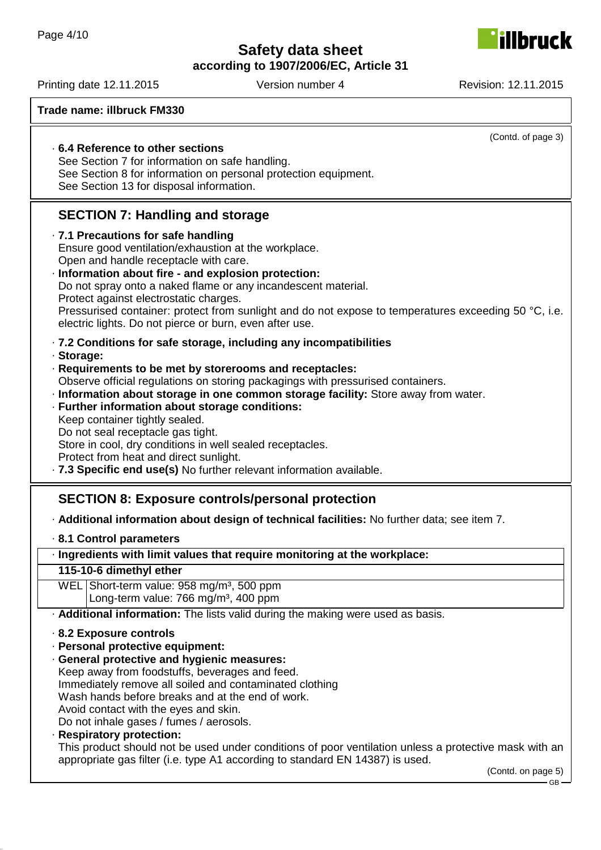**according to 1907/2006/EC, Article 31**

Printing date 12.11.2015 Version number 4 Revision: 12.11.2015

| Trade name: illbruck FM330                                                                                                                                      |
|-----------------------------------------------------------------------------------------------------------------------------------------------------------------|
| (Contd. of page 3)                                                                                                                                              |
| .6.4 Reference to other sections                                                                                                                                |
| See Section 7 for information on safe handling.                                                                                                                 |
| See Section 8 for information on personal protection equipment.<br>See Section 13 for disposal information.                                                     |
|                                                                                                                                                                 |
| <b>SECTION 7: Handling and storage</b>                                                                                                                          |
| · 7.1 Precautions for safe handling                                                                                                                             |
| Ensure good ventilation/exhaustion at the workplace.                                                                                                            |
| Open and handle receptacle with care.<br>· Information about fire - and explosion protection:                                                                   |
| Do not spray onto a naked flame or any incandescent material.                                                                                                   |
| Protect against electrostatic charges.                                                                                                                          |
| Pressurised container: protect from sunlight and do not expose to temperatures exceeding 50 °C, i.e.<br>electric lights. Do not pierce or burn, even after use. |
| · 7.2 Conditions for safe storage, including any incompatibilities<br>· Storage:                                                                                |
| · Requirements to be met by storerooms and receptacles:                                                                                                         |
| Observe official regulations on storing packagings with pressurised containers.                                                                                 |
| · Information about storage in one common storage facility: Store away from water.                                                                              |
| · Further information about storage conditions:<br>Keep container tightly sealed.                                                                               |
| Do not seal receptacle gas tight.                                                                                                                               |
| Store in cool, dry conditions in well sealed receptacles.                                                                                                       |
| Protect from heat and direct sunlight.                                                                                                                          |
| .7.3 Specific end use(s) No further relevant information available.                                                                                             |
| <b>SECTION 8: Exposure controls/personal protection</b>                                                                                                         |
| - Additional information about design of technical facilities: No further data; see item 7.                                                                     |
| 8.1 Control parameters                                                                                                                                          |
| · Ingredients with limit values that require monitoring at the workplace:                                                                                       |
| 115-10-6 dimethyl ether<br>WEL Short-term value: 958 mg/m <sup>3</sup> , 500 ppm                                                                                |
| Long-term value: 766 mg/m <sup>3</sup> , 400 ppm                                                                                                                |
| . Additional information: The lists valid during the making were used as basis.                                                                                 |
| 8.2 Exposure controls                                                                                                                                           |
| · Personal protective equipment:                                                                                                                                |
| · General protective and hygienic measures:<br>Keep away from foodstuffs, beverages and feed.                                                                   |
| Immediately remove all soiled and contaminated clothing                                                                                                         |
| Wash hands before breaks and at the end of work.                                                                                                                |
| Avoid contact with the eyes and skin.                                                                                                                           |
| Do not inhale gases / fumes / aerosols.                                                                                                                         |
| · Respiratory protection:<br>This product should not be used under conditions of poor ventilation unless a protective mask with an                              |
| appropriate gas filter (i.e. type A1 according to standard EN 14387) is used.                                                                                   |

(Contd. on page 5)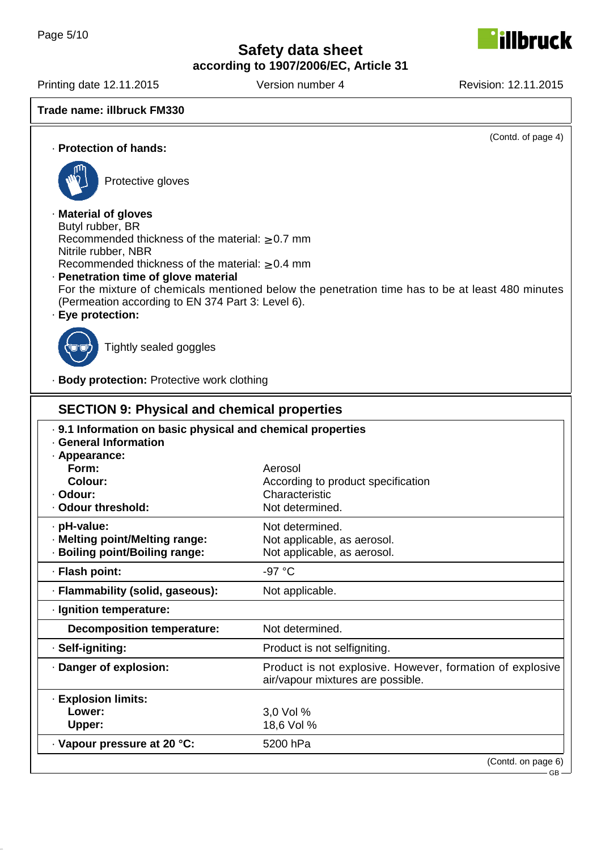**according to 1907/2006/EC, Article 31**

Printing date 12.11.2015 Version number 4 Revision: 12.11.2015

**Trade name: illbruck FM330**

(Contd. of page 4)

**Ibruck** 

· **Protection of hands:**



Protective gloves

· **Material of gloves** Butyl rubber, BR Recommended thickness of the material:  $\geq 0.7$  mm Nitrile rubber, NBR Recommended thickness of the material:  $\geq 0.4$  mm · **Penetration time of glove material**

For the mixture of chemicals mentioned below the penetration time has to be at least 480 minutes (Permeation according to EN 374 Part 3: Level 6).

· **Eye protection:**



Tightly sealed goggles

· **Body protection:** Protective work clothing

| <b>SECTION 9: Physical and chemical properties</b>                                                                                                          |                                                                                                |  |
|-------------------------------------------------------------------------------------------------------------------------------------------------------------|------------------------------------------------------------------------------------------------|--|
| . 9.1 Information on basic physical and chemical properties<br>· General Information<br>· Appearance:<br>Form:<br>Colour:<br>· Odour:<br>· Odour threshold: | Aerosol<br>According to product specification<br>Characteristic<br>Not determined.             |  |
| · pH-value:<br>· Melting point/Melting range:<br>· Boiling point/Boiling range:                                                                             | Not determined.<br>Not applicable, as aerosol.<br>Not applicable, as aerosol.                  |  |
| · Flash point:                                                                                                                                              | -97 °C                                                                                         |  |
| · Flammability (solid, gaseous):                                                                                                                            | Not applicable.                                                                                |  |
| · Ignition temperature:                                                                                                                                     |                                                                                                |  |
| <b>Decomposition temperature:</b>                                                                                                                           | Not determined.                                                                                |  |
| · Self-igniting:                                                                                                                                            | Product is not selfigniting.                                                                   |  |
| · Danger of explosion:                                                                                                                                      | Product is not explosive. However, formation of explosive<br>air/vapour mixtures are possible. |  |
| · Explosion limits:<br>Lower:<br>Upper:<br>· Vapour pressure at 20 °C:                                                                                      | 3,0 Vol %<br>18,6 Vol %<br>5200 hPa                                                            |  |
|                                                                                                                                                             | (Contd. on page 6)<br>$-$ GB $-$                                                               |  |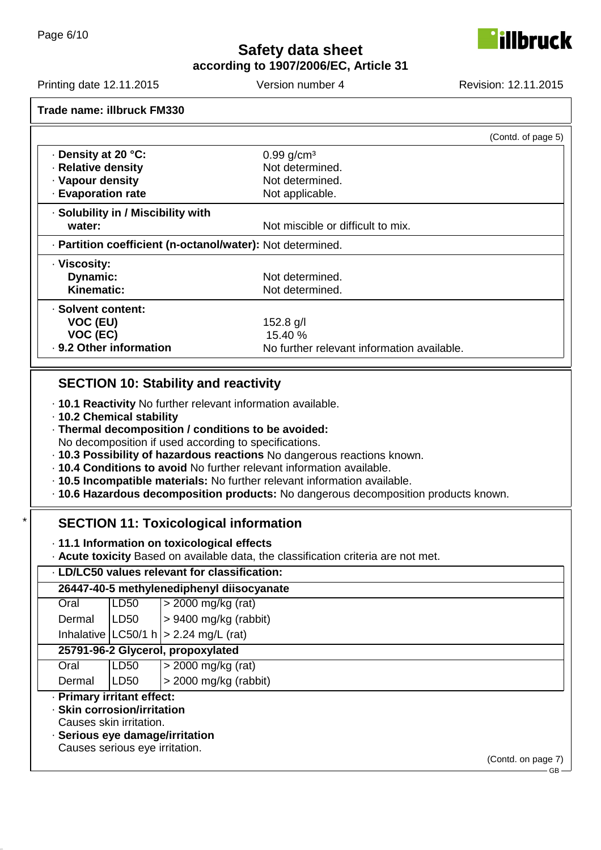

**according to 1907/2006/EC, Article 31**

Printing date 12.11.2015 Version number 4 Revision: 12.11.2015

**Trade name: illbruck FM330**

|                                                            | (Contd. of page 5)                         |
|------------------------------------------------------------|--------------------------------------------|
| Density at 20 °C:                                          | $0.99$ g/cm <sup>3</sup>                   |
| · Relative density                                         | Not determined.                            |
| · Vapour density                                           | Not determined.                            |
| <b>Evaporation rate</b>                                    | Not applicable.                            |
| · Solubility in / Miscibility with                         |                                            |
| water:                                                     | Not miscible or difficult to mix.          |
| · Partition coefficient (n-octanol/water): Not determined. |                                            |
| · Viscosity:                                               |                                            |
| Dynamic:                                                   | Not determined.                            |
| Kinematic:                                                 | Not determined.                            |
| · Solvent content:                                         |                                            |
| VOC (EU)                                                   | $152.8$ g/l                                |
| VOC (EC)                                                   | 15.40 %                                    |
| . 9.2 Other information                                    | No further relevant information available. |

## **SECTION 10: Stability and reactivity**

- · **10.1 Reactivity** No further relevant information available.
- · **10.2 Chemical stability**
- · **Thermal decomposition / conditions to be avoided:** No decomposition if used according to specifications.
- · **10.3 Possibility of hazardous reactions** No dangerous reactions known.
- · **10.4 Conditions to avoid** No further relevant information available.
- · **10.5 Incompatible materials:** No further relevant information available.
- · **10.6 Hazardous decomposition products:** No dangerous decomposition products known.

## **SECTION 11: Toxicological information**

· **11.1 Information on toxicological effects**

· **Acute toxicity** Based on available data, the classification criteria are not met.

### · **LD/LC50 values relevant for classification:**

|                                                                                                                                                           | 26447-40-5 methylenediphenyl diisocyanate |                                               |
|-----------------------------------------------------------------------------------------------------------------------------------------------------------|-------------------------------------------|-----------------------------------------------|
| Oral                                                                                                                                                      | LD50                                      | $>$ 2000 mg/kg (rat)                          |
| Dermal                                                                                                                                                    | LD50                                      | $> 9400$ mg/kg (rabbit)                       |
|                                                                                                                                                           |                                           | Inhalative $ $ LC50/1 h $ $ > 2.24 mg/L (rat) |
|                                                                                                                                                           |                                           | 25791-96-2 Glycerol, propoxylated             |
| Oral                                                                                                                                                      | LD <sub>50</sub>                          | $>$ 2000 mg/kg (rat)                          |
| Dermal                                                                                                                                                    | LD50                                      | $>$ 2000 mg/kg (rabbit)                       |
| · Primary irritant effect:<br>· Skin corrosion/irritation<br>Causes skin irritation.<br>· Serious eye damage/irritation<br>Causes serious eye irritation. |                                           |                                               |

(Contd. on page 7)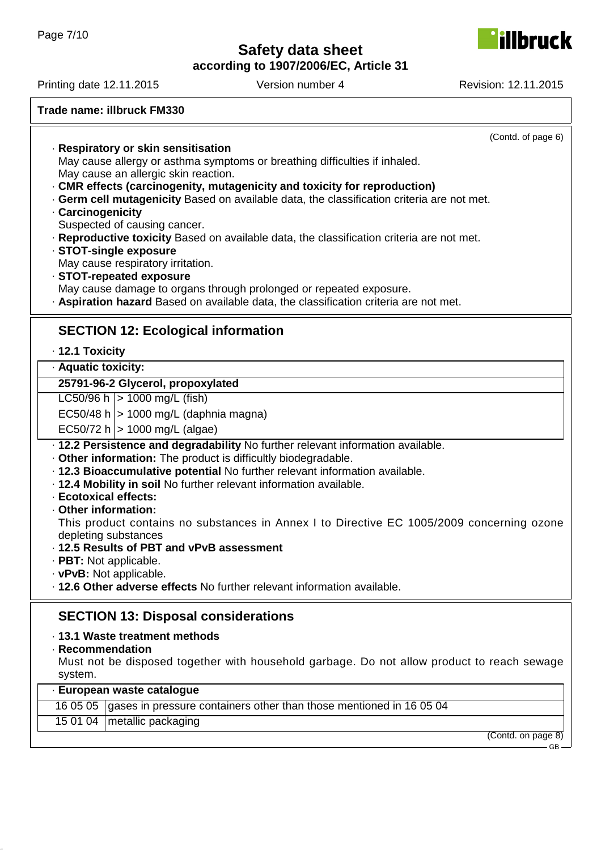**according to 1907/2006/EC, Article 31**

| $\blacksquare$                                                                                                                                                                                                              |                                                                                                                                                                                                                                                                                                                                                                                                                                                                                                                 |                    |
|-----------------------------------------------------------------------------------------------------------------------------------------------------------------------------------------------------------------------------|-----------------------------------------------------------------------------------------------------------------------------------------------------------------------------------------------------------------------------------------------------------------------------------------------------------------------------------------------------------------------------------------------------------------------------------------------------------------------------------------------------------------|--------------------|
| Trade name: illbruck FM330                                                                                                                                                                                                  |                                                                                                                                                                                                                                                                                                                                                                                                                                                                                                                 |                    |
| · Respiratory or skin sensitisation<br>May cause an allergic skin reaction.<br>· Carcinogenicity<br>Suspected of causing cancer.<br>· STOT-single exposure<br>May cause respiratory irritation.<br>· STOT-repeated exposure | May cause allergy or asthma symptoms or breathing difficulties if inhaled.<br>CMR effects (carcinogenity, mutagenicity and toxicity for reproduction)<br>. Germ cell mutagenicity Based on available data, the classification criteria are not met.<br>. Reproductive toxicity Based on available data, the classification criteria are not met.<br>May cause damage to organs through prolonged or repeated exposure.<br>· Aspiration hazard Based on available data, the classification criteria are not met. | (Contd. of page 6) |
| <b>SECTION 12: Ecological information</b>                                                                                                                                                                                   |                                                                                                                                                                                                                                                                                                                                                                                                                                                                                                                 |                    |
| · 12.1 Toxicity                                                                                                                                                                                                             |                                                                                                                                                                                                                                                                                                                                                                                                                                                                                                                 |                    |
| · Aquatic toxicity:                                                                                                                                                                                                         |                                                                                                                                                                                                                                                                                                                                                                                                                                                                                                                 |                    |
| 25791-96-2 Glycerol, propoxylated                                                                                                                                                                                           |                                                                                                                                                                                                                                                                                                                                                                                                                                                                                                                 |                    |
| LC50/96 h $ > 1000$ mg/L (fish)                                                                                                                                                                                             |                                                                                                                                                                                                                                                                                                                                                                                                                                                                                                                 |                    |
| EC50/48 h $ $ > 1000 mg/L (daphnia magna)                                                                                                                                                                                   |                                                                                                                                                                                                                                                                                                                                                                                                                                                                                                                 |                    |
| $EC50/72 h$   > 1000 mg/L (algae)                                                                                                                                                                                           |                                                                                                                                                                                                                                                                                                                                                                                                                                                                                                                 |                    |
|                                                                                                                                                                                                                             | . 12.2 Persistence and degradability No further relevant information available.                                                                                                                                                                                                                                                                                                                                                                                                                                 |                    |
| . Other information: The product is difficultly biodegradable.                                                                                                                                                              |                                                                                                                                                                                                                                                                                                                                                                                                                                                                                                                 |                    |
|                                                                                                                                                                                                                             | · 12.3 Bioaccumulative potential No further relevant information available.                                                                                                                                                                                                                                                                                                                                                                                                                                     |                    |
| . 12.4 Mobility in soil No further relevant information available.                                                                                                                                                          |                                                                                                                                                                                                                                                                                                                                                                                                                                                                                                                 |                    |
| · Ecotoxical effects:                                                                                                                                                                                                       |                                                                                                                                                                                                                                                                                                                                                                                                                                                                                                                 |                    |
| · Other information:                                                                                                                                                                                                        | This product contains no substances in Annex I to Directive EC 1005/2009 concerning ozone                                                                                                                                                                                                                                                                                                                                                                                                                       |                    |
| depleting substances                                                                                                                                                                                                        |                                                                                                                                                                                                                                                                                                                                                                                                                                                                                                                 |                    |
| · 12.5 Results of PBT and vPvB assessment                                                                                                                                                                                   |                                                                                                                                                                                                                                                                                                                                                                                                                                                                                                                 |                    |
| $\cdot$ PBT: Not applicable.                                                                                                                                                                                                |                                                                                                                                                                                                                                                                                                                                                                                                                                                                                                                 |                    |
| $\cdot$ vPvB: Not applicable.                                                                                                                                                                                               |                                                                                                                                                                                                                                                                                                                                                                                                                                                                                                                 |                    |
|                                                                                                                                                                                                                             | . 12.6 Other adverse effects No further relevant information available.                                                                                                                                                                                                                                                                                                                                                                                                                                         |                    |
| <b>SECTION 13: Disposal considerations</b>                                                                                                                                                                                  |                                                                                                                                                                                                                                                                                                                                                                                                                                                                                                                 |                    |
| · 13.1 Waste treatment methods                                                                                                                                                                                              |                                                                                                                                                                                                                                                                                                                                                                                                                                                                                                                 |                    |
| · Recommendation                                                                                                                                                                                                            |                                                                                                                                                                                                                                                                                                                                                                                                                                                                                                                 |                    |
|                                                                                                                                                                                                                             | Must not be disposed together with household garbage. Do not allow product to reach sewage                                                                                                                                                                                                                                                                                                                                                                                                                      |                    |
| system.<br>· European waste catalogue                                                                                                                                                                                       |                                                                                                                                                                                                                                                                                                                                                                                                                                                                                                                 |                    |
| 16 05 05                                                                                                                                                                                                                    | gases in pressure containers other than those mentioned in 16 05 04                                                                                                                                                                                                                                                                                                                                                                                                                                             |                    |
| 15 01 04<br>metallic packaging                                                                                                                                                                                              |                                                                                                                                                                                                                                                                                                                                                                                                                                                                                                                 |                    |
|                                                                                                                                                                                                                             |                                                                                                                                                                                                                                                                                                                                                                                                                                                                                                                 | (Contd. on page 8) |
|                                                                                                                                                                                                                             |                                                                                                                                                                                                                                                                                                                                                                                                                                                                                                                 | GB-                |

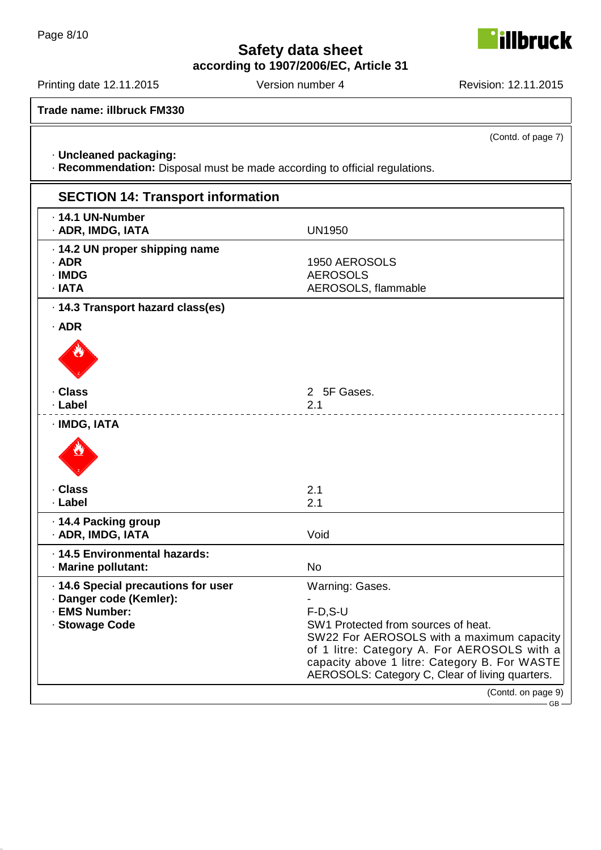**according to 1907/2006/EC, Article 31**

Printing date 12.11.2015 Version number 4 Revision: 12.11.2015

**Trade name: illbruck FM330**

· **Uncleaned packaging:**

· **Recommendation:** Disposal must be made according to official regulations.

| <b>SECTION 14: Transport information</b>                                                          |                                                                                                                                                                                                                                                                      |
|---------------------------------------------------------------------------------------------------|----------------------------------------------------------------------------------------------------------------------------------------------------------------------------------------------------------------------------------------------------------------------|
| · 14.1 UN-Number<br>· ADR, IMDG, IATA                                                             | <b>UN1950</b>                                                                                                                                                                                                                                                        |
| · 14.2 UN proper shipping name<br>· ADR<br>· IMDG<br>$\cdot$ IATA                                 | 1950 AEROSOLS<br><b>AEROSOLS</b><br>AEROSOLS, flammable                                                                                                                                                                                                              |
| · 14.3 Transport hazard class(es)                                                                 |                                                                                                                                                                                                                                                                      |
| $·$ ADR                                                                                           |                                                                                                                                                                                                                                                                      |
|                                                                                                   |                                                                                                                                                                                                                                                                      |
| · Class                                                                                           | 2 5F Gases.                                                                                                                                                                                                                                                          |
| · Label                                                                                           | 2.1                                                                                                                                                                                                                                                                  |
| · IMDG, IATA                                                                                      |                                                                                                                                                                                                                                                                      |
| · Class                                                                                           | 2.1                                                                                                                                                                                                                                                                  |
| · Label                                                                                           | 2.1                                                                                                                                                                                                                                                                  |
| · 14.4 Packing group<br>· ADR, IMDG, IATA                                                         | Void                                                                                                                                                                                                                                                                 |
| · 14.5 Environmental hazards:<br>· Marine pollutant:                                              | <b>No</b>                                                                                                                                                                                                                                                            |
| · 14.6 Special precautions for user<br>· Danger code (Kemler):<br>· EMS Number:<br>· Stowage Code | Warning: Gases.<br>$F-D, S-U$<br>SW1 Protected from sources of heat.<br>SW22 For AEROSOLS with a maximum capacity<br>of 1 litre: Category A. For AEROSOLS with a<br>capacity above 1 litre: Category B. For WASTE<br>AEROSOLS: Category C, Clear of living quarters. |
|                                                                                                   | (Contd. on page 9)<br>$\overline{\phantom{a}}$ GR $\overline{\phantom{a}}$                                                                                                                                                                                           |



(Contd. of page 7)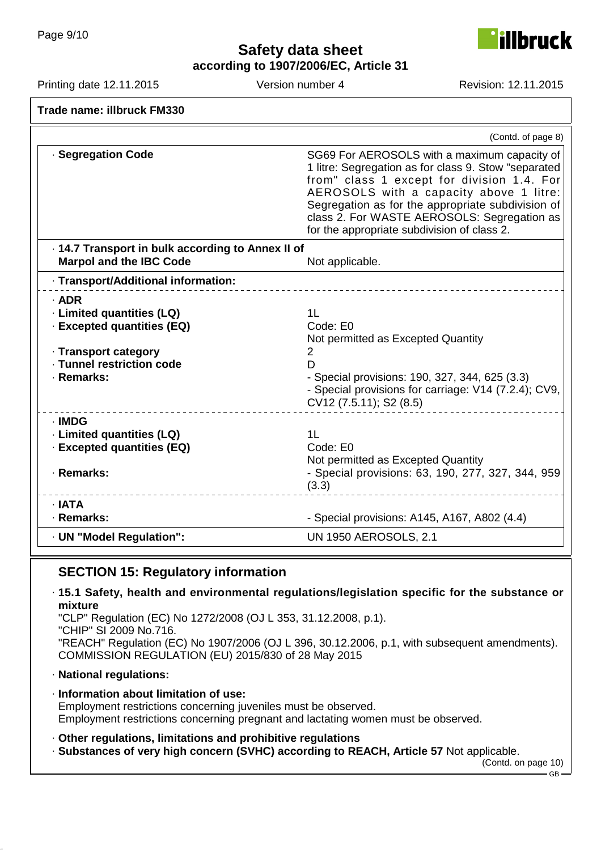illbruck

**according to 1907/2006/EC, Article 31**

Printing date 12.11.2015 Version number 4 Revision: 12.11.2015

| Trade name: illbruck FM330                                                                                                            |                                                                                                                                                                                                                                                                                                                                                  |
|---------------------------------------------------------------------------------------------------------------------------------------|--------------------------------------------------------------------------------------------------------------------------------------------------------------------------------------------------------------------------------------------------------------------------------------------------------------------------------------------------|
|                                                                                                                                       | (Contd. of page 8)                                                                                                                                                                                                                                                                                                                               |
| · Segregation Code                                                                                                                    | SG69 For AEROSOLS with a maximum capacity of<br>1 litre: Segregation as for class 9. Stow "separated<br>from" class 1 except for division 1.4. For<br>AEROSOLS with a capacity above 1 litre:<br>Segregation as for the appropriate subdivision of<br>class 2. For WASTE AEROSOLS: Segregation as<br>for the appropriate subdivision of class 2. |
| · 14.7 Transport in bulk according to Annex II of<br><b>Marpol and the IBC Code</b>                                                   | Not applicable.                                                                                                                                                                                                                                                                                                                                  |
| · Transport/Additional information:                                                                                                   |                                                                                                                                                                                                                                                                                                                                                  |
| $·$ ADR<br>· Limited quantities (LQ)<br>· Excepted quantities (EQ)<br>· Transport category<br>· Tunnel restriction code<br>· Remarks: | 1L<br>Code: E0<br>Not permitted as Excepted Quantity<br>2<br>D<br>- Special provisions: 190, 327, 344, 625 (3.3)<br>- Special provisions for carriage: V14 (7.2.4); CV9,<br>CV12 (7.5.11); S2 (8.5)                                                                                                                                              |
| · IMDG<br>· Limited quantities (LQ)<br>· Excepted quantities (EQ)<br>· Remarks:                                                       | 11<br>Code: E0<br>Not permitted as Excepted Quantity<br>- Special provisions: 63, 190, 277, 327, 344, 959<br>(3.3)                                                                                                                                                                                                                               |
| $\cdot$ IATA<br>· Remarks:                                                                                                            | - Special provisions: A145, A167, A802 (4.4)                                                                                                                                                                                                                                                                                                     |
| · UN "Model Regulation":                                                                                                              | <b>UN 1950 AEROSOLS, 2.1</b>                                                                                                                                                                                                                                                                                                                     |

## **SECTION 15: Regulatory information**

· **15.1 Safety, health and environmental regulations/legislation specific for the substance or mixture**

"CLP" Regulation (EC) No 1272/2008 (OJ L 353, 31.12.2008, p.1).

"CHIP" SI 2009 No.716.

"REACH" Regulation (EC) No 1907/2006 (OJ L 396, 30.12.2006, p.1, with subsequent amendments). COMMISSION REGULATION (EU) 2015/830 of 28 May 2015

· **National regulations:**

· **Information about limitation of use:** Employment restrictions concerning juveniles must be observed. Employment restrictions concerning pregnant and lactating women must be observed.

· **Other regulations, limitations and prohibitive regulations**

· **Substances of very high concern (SVHC) according to REACH, Article 57** Not applicable.

(Contd. on page 10) GB